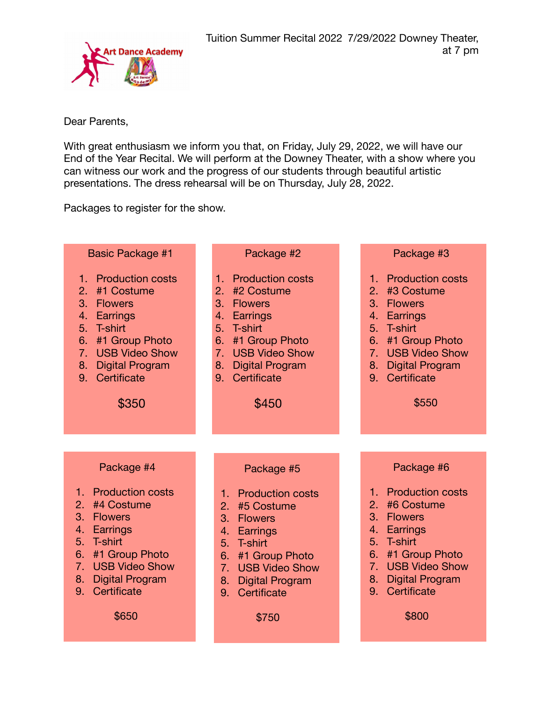

Dear Parents,

With great enthusiasm we inform you that, on Friday, July 29, 2022, we will have our End of the Year Recital. We will perform at the Downey Theater, with a show where you can witness our work and the progress of our students through beautiful artistic presentations. The dress rehearsal will be on Thursday, July 28, 2022.

Packages to register for the show.

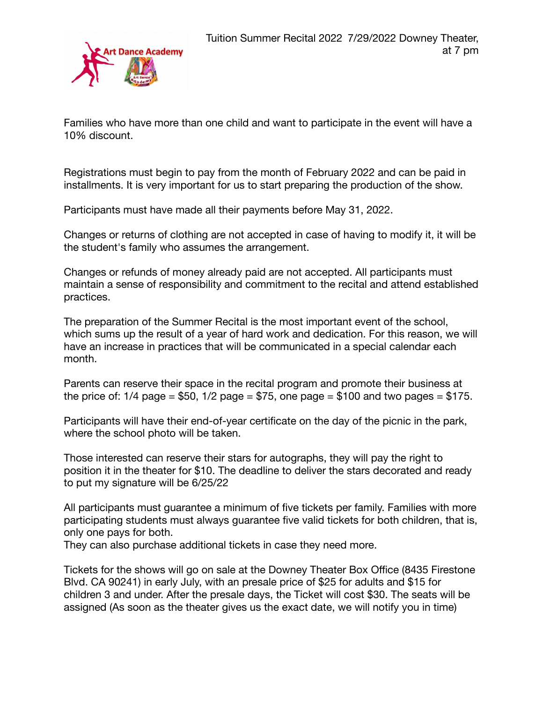

Families who have more than one child and want to participate in the event will have a 10% discount.

Registrations must begin to pay from the month of February 2022 and can be paid in installments. It is very important for us to start preparing the production of the show.

Participants must have made all their payments before May 31, 2022.

Changes or returns of clothing are not accepted in case of having to modify it, it will be the student's family who assumes the arrangement.

Changes or refunds of money already paid are not accepted. All participants must maintain a sense of responsibility and commitment to the recital and attend established practices.

The preparation of the Summer Recital is the most important event of the school, which sums up the result of a year of hard work and dedication. For this reason, we will have an increase in practices that will be communicated in a special calendar each month.

Parents can reserve their space in the recital program and promote their business at the price of:  $1/4$  page = \$50,  $1/2$  page = \$75, one page = \$100 and two pages = \$175.

Participants will have their end-of-year certificate on the day of the picnic in the park, where the school photo will be taken.

Those interested can reserve their stars for autographs, they will pay the right to position it in the theater for \$10. The deadline to deliver the stars decorated and ready to put my signature will be 6/25/22

All participants must guarantee a minimum of five tickets per family. Families with more participating students must always guarantee five valid tickets for both children, that is, only one pays for both.

They can also purchase additional tickets in case they need more.

Tickets for the shows will go on sale at the Downey Theater Box Office (8435 Firestone Blvd. CA 90241) in early July, with an presale price of \$25 for adults and \$15 for children 3 and under. After the presale days, the Ticket will cost \$30. The seats will be assigned (As soon as the theater gives us the exact date, we will notify you in time)